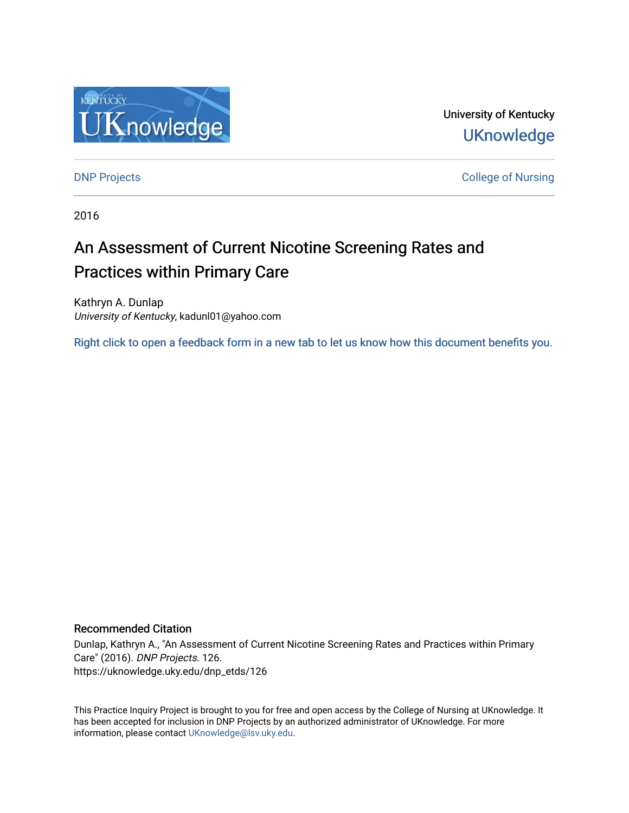

University of Kentucky **UKnowledge** 

[DNP Projects](https://uknowledge.uky.edu/dnp_etds) **College of Nursing** 

2016

# An Assessment of Current Nicotine Screening Rates and Practices within Primary Care

Kathryn A. Dunlap University of Kentucky, kadunl01@yahoo.com

[Right click to open a feedback form in a new tab to let us know how this document benefits you.](https://uky.az1.qualtrics.com/jfe/form/SV_9mq8fx2GnONRfz7)

### Recommended Citation

Dunlap, Kathryn A., "An Assessment of Current Nicotine Screening Rates and Practices within Primary Care" (2016). DNP Projects. 126. https://uknowledge.uky.edu/dnp\_etds/126

This Practice Inquiry Project is brought to you for free and open access by the College of Nursing at UKnowledge. It has been accepted for inclusion in DNP Projects by an authorized administrator of UKnowledge. For more information, please contact [UKnowledge@lsv.uky.edu](mailto:UKnowledge@lsv.uky.edu).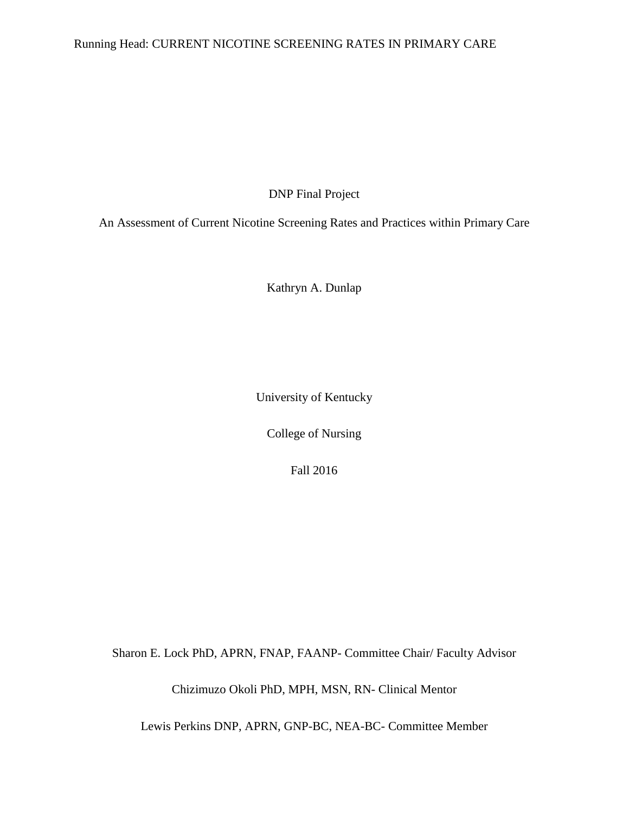# Running Head: CURRENT NICOTINE SCREENING RATES IN PRIMARY CARE

DNP Final Project

An Assessment of Current Nicotine Screening Rates and Practices within Primary Care

Kathryn A. Dunlap

University of Kentucky

College of Nursing

Fall 2016

Sharon E. Lock PhD, APRN, FNAP, FAANP- Committee Chair/ Faculty Advisor

Chizimuzo Okoli PhD, MPH, MSN, RN- Clinical Mentor

Lewis Perkins DNP, APRN, GNP-BC, NEA-BC- Committee Member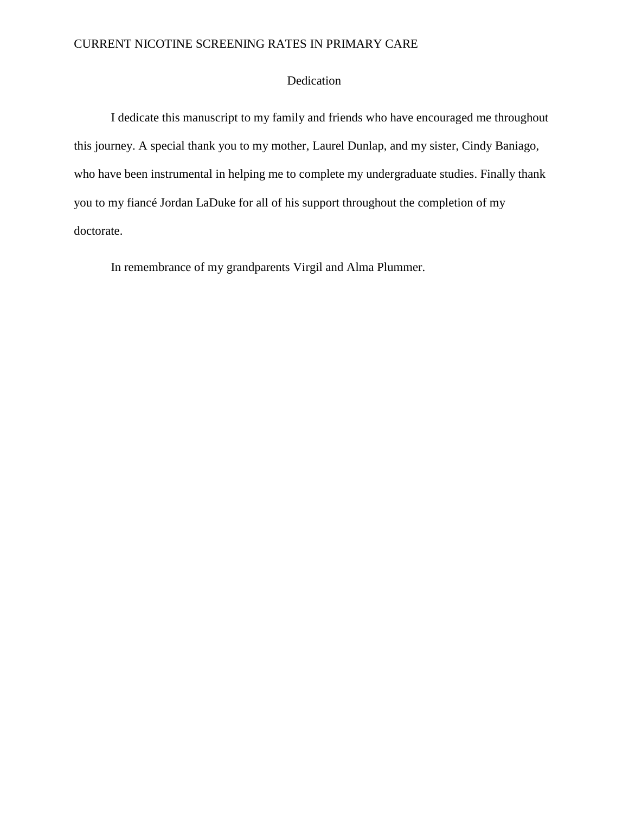### Dedication

I dedicate this manuscript to my family and friends who have encouraged me throughout this journey. A special thank you to my mother, Laurel Dunlap, and my sister, Cindy Baniago, who have been instrumental in helping me to complete my undergraduate studies. Finally thank you to my fiancé Jordan LaDuke for all of his support throughout the completion of my doctorate.

In remembrance of my grandparents Virgil and Alma Plummer.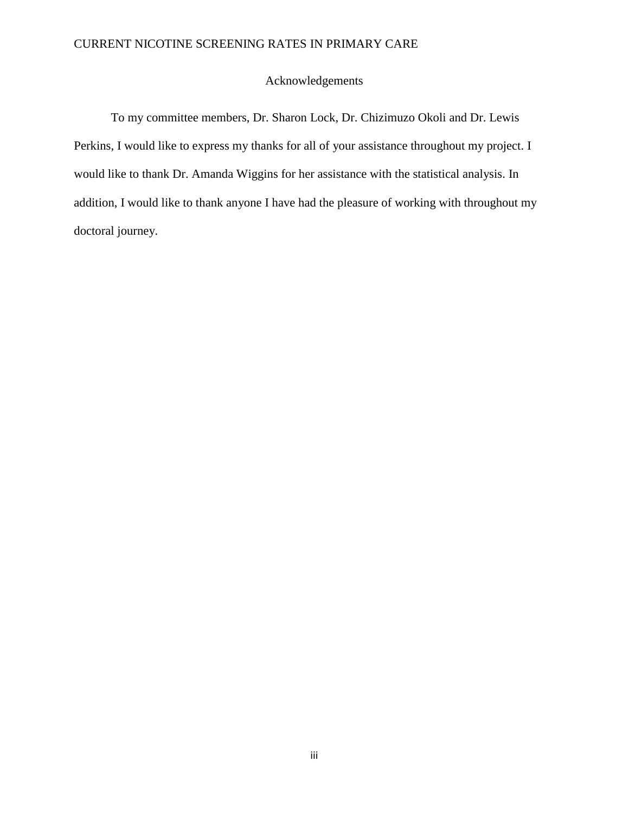### Acknowledgements

To my committee members, Dr. Sharon Lock, Dr. Chizimuzo Okoli and Dr. Lewis Perkins, I would like to express my thanks for all of your assistance throughout my project. I would like to thank Dr. Amanda Wiggins for her assistance with the statistical analysis. In addition, I would like to thank anyone I have had the pleasure of working with throughout my doctoral journey.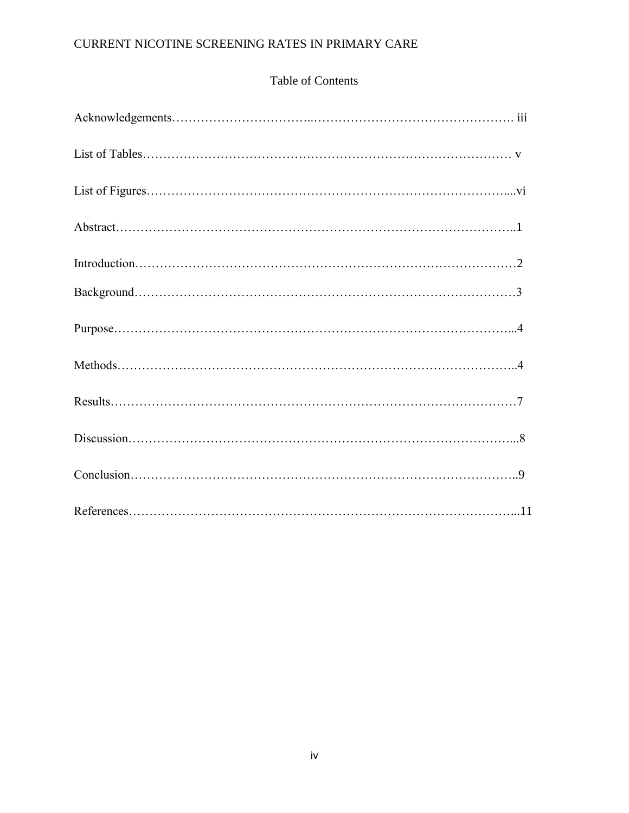# Table of Contents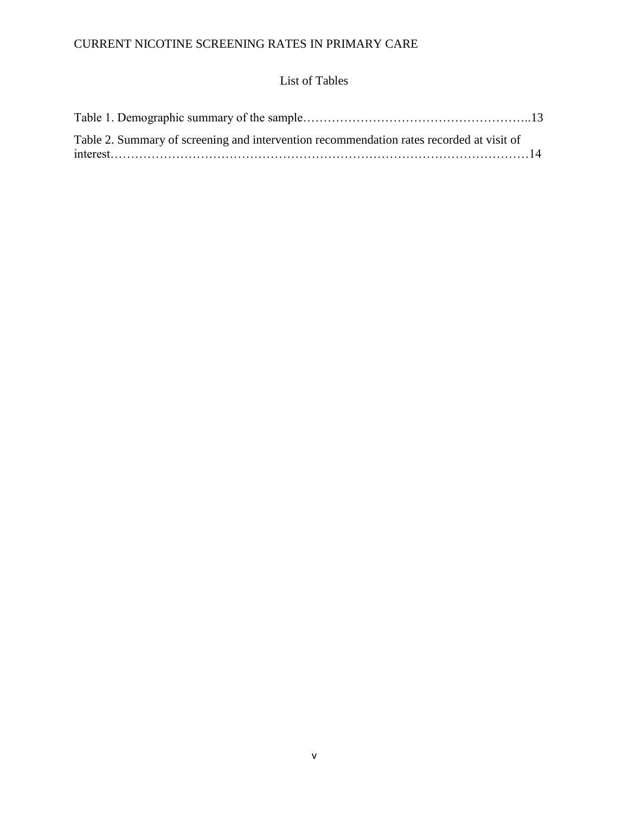# List of Tables

| Table 2. Summary of screening and intervention recommendation rates recorded at visit of |  |
|------------------------------------------------------------------------------------------|--|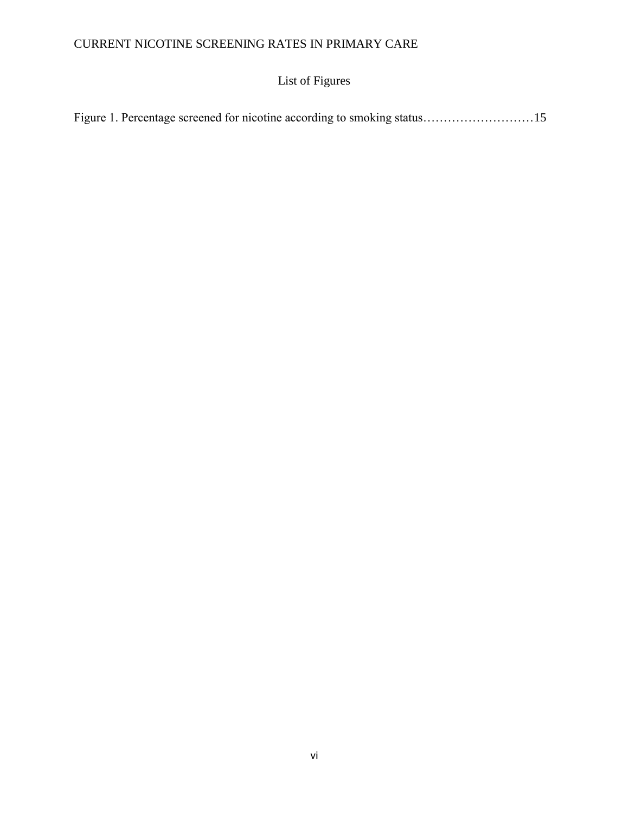# List of Figures

|  |  | Figure 1. Percentage screened for nicotine according to smoking status15 |
|--|--|--------------------------------------------------------------------------|
|  |  |                                                                          |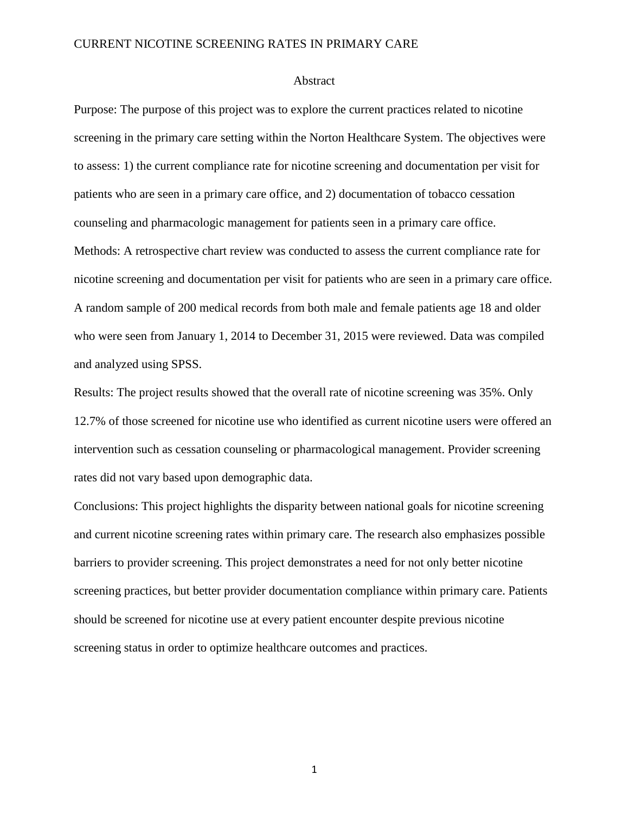#### Abstract

Purpose: The purpose of this project was to explore the current practices related to nicotine screening in the primary care setting within the Norton Healthcare System. The objectives were to assess: 1) the current compliance rate for nicotine screening and documentation per visit for patients who are seen in a primary care office, and 2) documentation of tobacco cessation counseling and pharmacologic management for patients seen in a primary care office. Methods: A retrospective chart review was conducted to assess the current compliance rate for nicotine screening and documentation per visit for patients who are seen in a primary care office. A random sample of 200 medical records from both male and female patients age 18 and older who were seen from January 1, 2014 to December 31, 2015 were reviewed. Data was compiled and analyzed using SPSS.

Results: The project results showed that the overall rate of nicotine screening was 35%. Only 12.7% of those screened for nicotine use who identified as current nicotine users were offered an intervention such as cessation counseling or pharmacological management. Provider screening rates did not vary based upon demographic data.

Conclusions: This project highlights the disparity between national goals for nicotine screening and current nicotine screening rates within primary care. The research also emphasizes possible barriers to provider screening. This project demonstrates a need for not only better nicotine screening practices, but better provider documentation compliance within primary care. Patients should be screened for nicotine use at every patient encounter despite previous nicotine screening status in order to optimize healthcare outcomes and practices.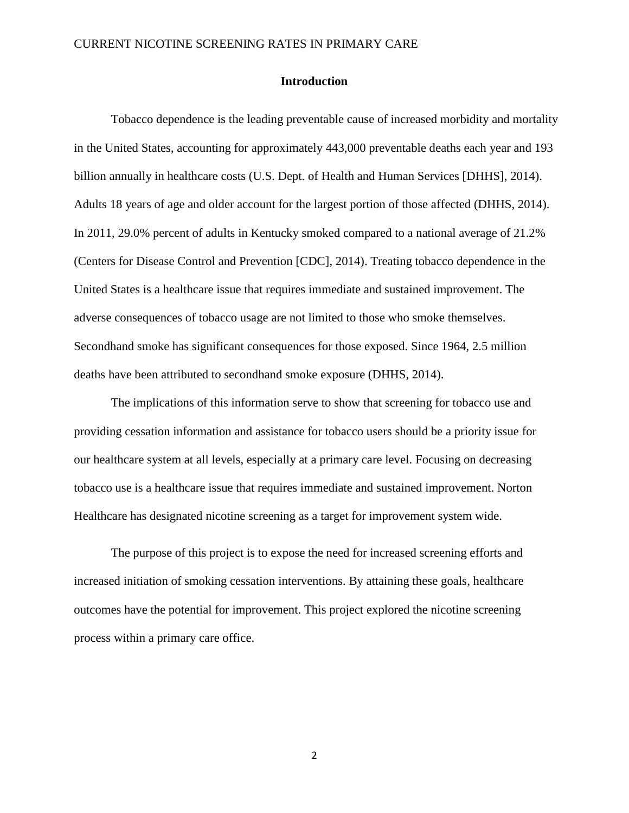### **Introduction**

Tobacco dependence is the leading preventable cause of increased morbidity and mortality in the United States, accounting for approximately 443,000 preventable deaths each year and 193 billion annually in healthcare costs (U.S. Dept. of Health and Human Services [DHHS], 2014). Adults 18 years of age and older account for the largest portion of those affected (DHHS, 2014). In 2011, 29.0% percent of adults in Kentucky smoked compared to a national average of 21.2% (Centers for Disease Control and Prevention [CDC], 2014). Treating tobacco dependence in the United States is a healthcare issue that requires immediate and sustained improvement. The adverse consequences of tobacco usage are not limited to those who smoke themselves. Secondhand smoke has significant consequences for those exposed. Since 1964, 2.5 million deaths have been attributed to secondhand smoke exposure (DHHS, 2014).

The implications of this information serve to show that screening for tobacco use and providing cessation information and assistance for tobacco users should be a priority issue for our healthcare system at all levels, especially at a primary care level. Focusing on decreasing tobacco use is a healthcare issue that requires immediate and sustained improvement. Norton Healthcare has designated nicotine screening as a target for improvement system wide.

The purpose of this project is to expose the need for increased screening efforts and increased initiation of smoking cessation interventions. By attaining these goals, healthcare outcomes have the potential for improvement. This project explored the nicotine screening process within a primary care office.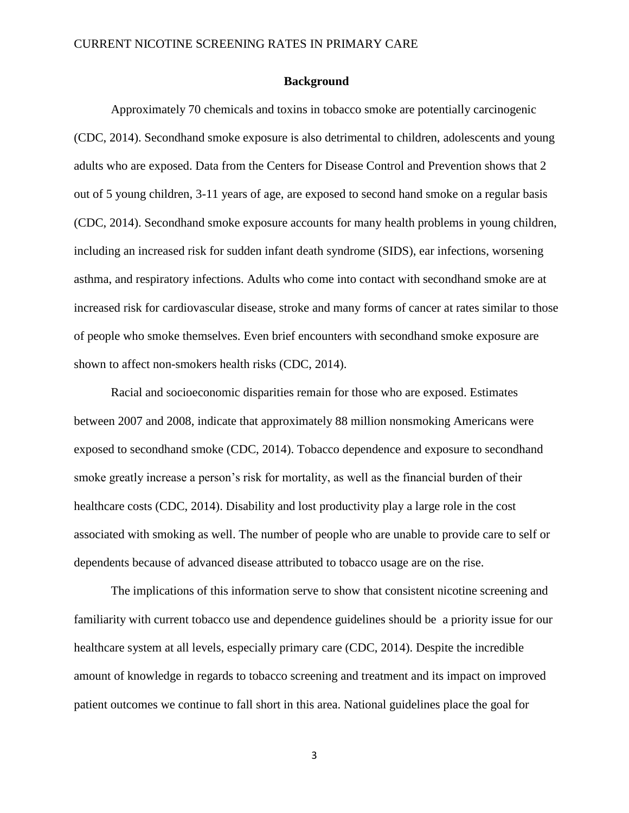#### **Background**

Approximately 70 chemicals and toxins in tobacco smoke are potentially carcinogenic (CDC, 2014). Secondhand smoke exposure is also detrimental to children, adolescents and young adults who are exposed. Data from the Centers for Disease Control and Prevention shows that 2 out of 5 young children, 3-11 years of age, are exposed to second hand smoke on a regular basis (CDC, 2014). Secondhand smoke exposure accounts for many health problems in young children, including an increased risk for sudden infant death syndrome (SIDS), ear infections, worsening asthma, and respiratory infections. Adults who come into contact with secondhand smoke are at increased risk for cardiovascular disease, stroke and many forms of cancer at rates similar to those of people who smoke themselves. Even brief encounters with secondhand smoke exposure are shown to affect non-smokers health risks (CDC, 2014).

Racial and socioeconomic disparities remain for those who are exposed. Estimates between 2007 and 2008, indicate that approximately 88 million nonsmoking Americans were exposed to secondhand smoke (CDC, 2014). Tobacco dependence and exposure to secondhand smoke greatly increase a person's risk for mortality, as well as the financial burden of their healthcare costs (CDC, 2014). Disability and lost productivity play a large role in the cost associated with smoking as well. The number of people who are unable to provide care to self or dependents because of advanced disease attributed to tobacco usage are on the rise.

The implications of this information serve to show that consistent nicotine screening and familiarity with current tobacco use and dependence guidelines should be a priority issue for our healthcare system at all levels, especially primary care (CDC, 2014). Despite the incredible amount of knowledge in regards to tobacco screening and treatment and its impact on improved patient outcomes we continue to fall short in this area. National guidelines place the goal for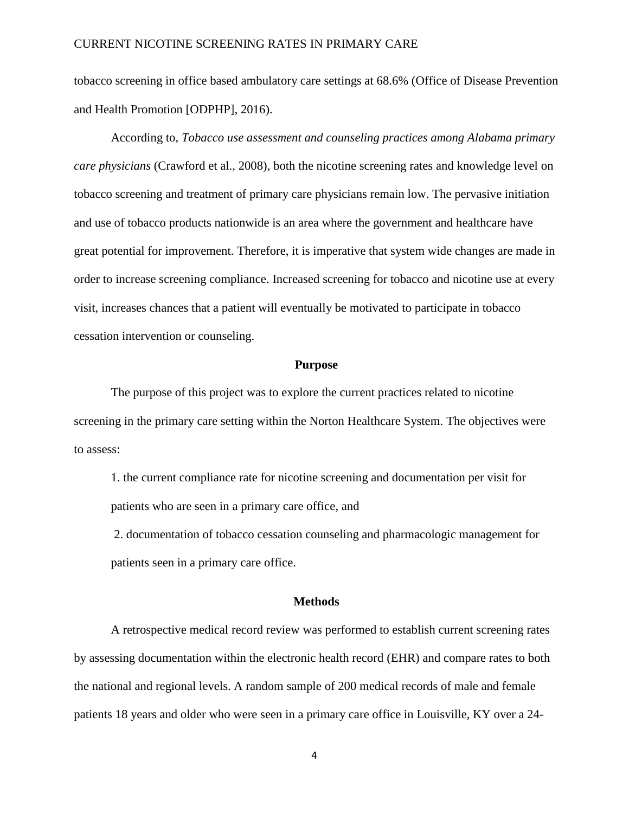tobacco screening in office based ambulatory care settings at 68.6% (Office of Disease Prevention and Health Promotion [ODPHP], 2016).

According to, *Tobacco use assessment and counseling practices among Alabama primary care physicians* (Crawford et al., 2008)*,* both the nicotine screening rates and knowledge level on tobacco screening and treatment of primary care physicians remain low. The pervasive initiation and use of tobacco products nationwide is an area where the government and healthcare have great potential for improvement. Therefore, it is imperative that system wide changes are made in order to increase screening compliance. Increased screening for tobacco and nicotine use at every visit, increases chances that a patient will eventually be motivated to participate in tobacco cessation intervention or counseling.

#### **Purpose**

The purpose of this project was to explore the current practices related to nicotine screening in the primary care setting within the Norton Healthcare System. The objectives were to assess:

1. the current compliance rate for nicotine screening and documentation per visit for patients who are seen in a primary care office, and

2. documentation of tobacco cessation counseling and pharmacologic management for patients seen in a primary care office.

#### **Methods**

A retrospective medical record review was performed to establish current screening rates by assessing documentation within the electronic health record (EHR) and compare rates to both the national and regional levels. A random sample of 200 medical records of male and female patients 18 years and older who were seen in a primary care office in Louisville, KY over a 24-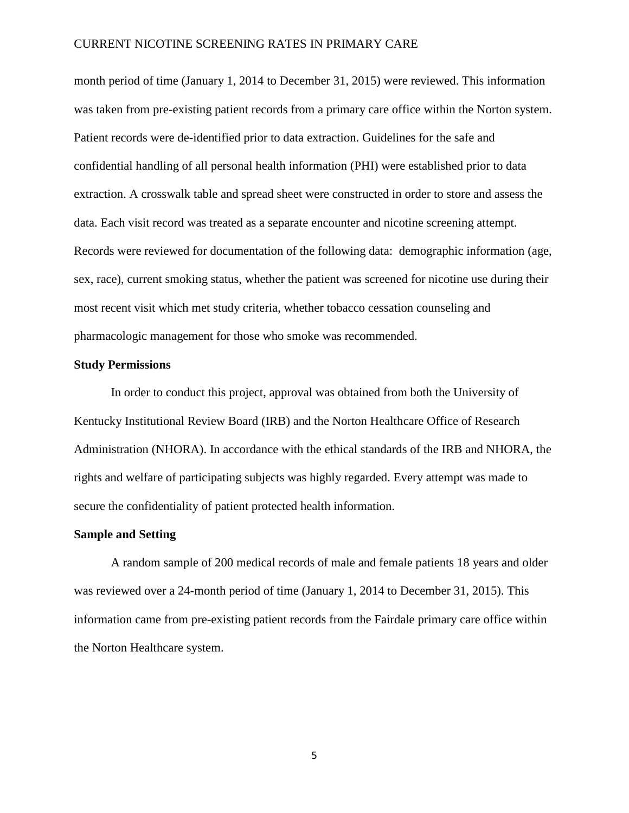month period of time (January 1, 2014 to December 31, 2015) were reviewed. This information was taken from pre-existing patient records from a primary care office within the Norton system. Patient records were de-identified prior to data extraction. Guidelines for the safe and confidential handling of all personal health information (PHI) were established prior to data extraction. A crosswalk table and spread sheet were constructed in order to store and assess the data. Each visit record was treated as a separate encounter and nicotine screening attempt. Records were reviewed for documentation of the following data: demographic information (age, sex, race), current smoking status, whether the patient was screened for nicotine use during their most recent visit which met study criteria, whether tobacco cessation counseling and pharmacologic management for those who smoke was recommended.

#### **Study Permissions**

In order to conduct this project, approval was obtained from both the University of Kentucky Institutional Review Board (IRB) and the Norton Healthcare Office of Research Administration (NHORA). In accordance with the ethical standards of the IRB and NHORA, the rights and welfare of participating subjects was highly regarded. Every attempt was made to secure the confidentiality of patient protected health information.

#### **Sample and Setting**

A random sample of 200 medical records of male and female patients 18 years and older was reviewed over a 24-month period of time (January 1, 2014 to December 31, 2015). This information came from pre-existing patient records from the Fairdale primary care office within the Norton Healthcare system.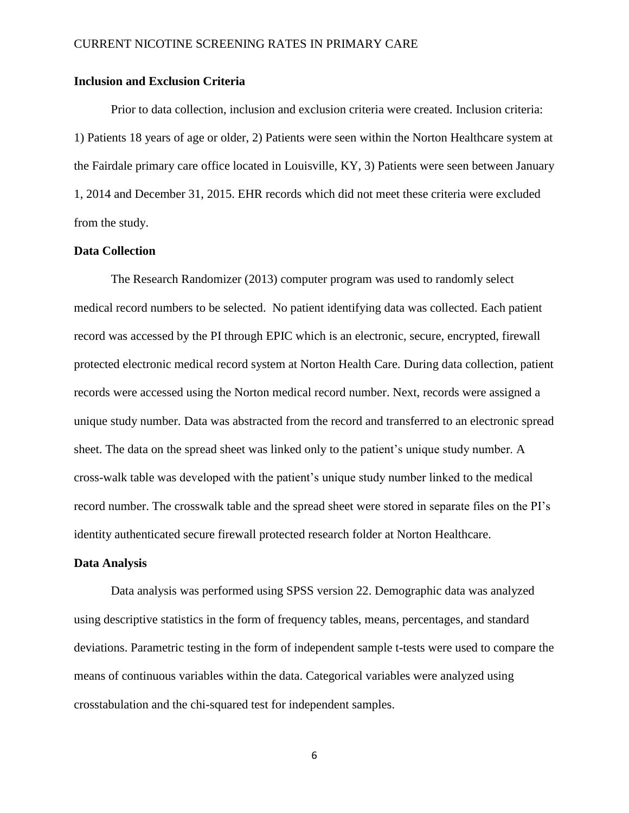### **Inclusion and Exclusion Criteria**

Prior to data collection, inclusion and exclusion criteria were created. Inclusion criteria: 1) Patients 18 years of age or older, 2) Patients were seen within the Norton Healthcare system at the Fairdale primary care office located in Louisville, KY, 3) Patients were seen between January 1, 2014 and December 31, 2015. EHR records which did not meet these criteria were excluded from the study.

### **Data Collection**

The Research Randomizer (2013) computer program was used to randomly select medical record numbers to be selected. No patient identifying data was collected. Each patient record was accessed by the PI through EPIC which is an electronic, secure, encrypted, firewall protected electronic medical record system at Norton Health Care. During data collection, patient records were accessed using the Norton medical record number. Next, records were assigned a unique study number. Data was abstracted from the record and transferred to an electronic spread sheet. The data on the spread sheet was linked only to the patient's unique study number. A cross-walk table was developed with the patient's unique study number linked to the medical record number. The crosswalk table and the spread sheet were stored in separate files on the PI's identity authenticated secure firewall protected research folder at Norton Healthcare.

#### **Data Analysis**

Data analysis was performed using SPSS version 22. Demographic data was analyzed using descriptive statistics in the form of frequency tables, means, percentages, and standard deviations. Parametric testing in the form of independent sample t-tests were used to compare the means of continuous variables within the data. Categorical variables were analyzed using crosstabulation and the chi-squared test for independent samples.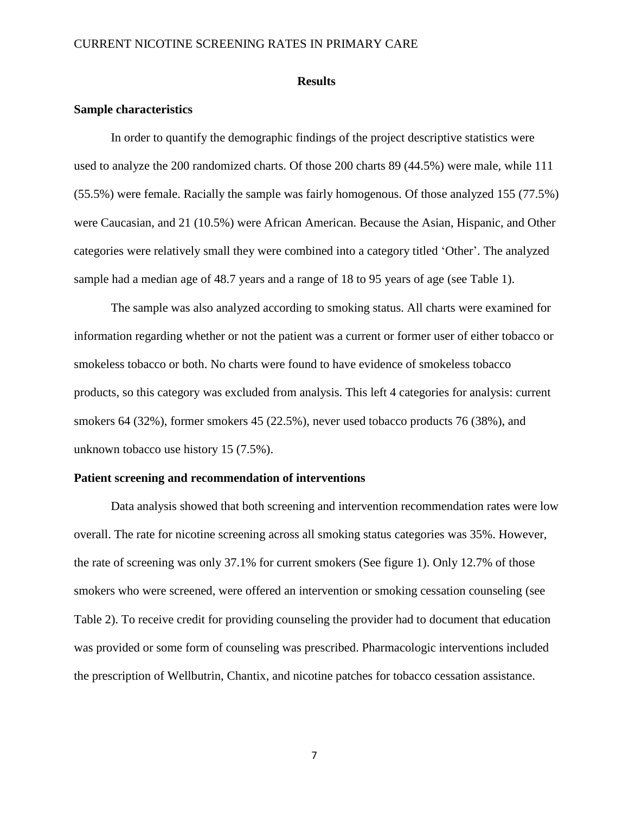#### **Results**

### **Sample characteristics**

In order to quantify the demographic findings of the project descriptive statistics were used to analyze the 200 randomized charts. Of those 200 charts 89 (44.5%) were male, while 111 (55.5%) were female. Racially the sample was fairly homogenous. Of those analyzed 155 (77.5%) were Caucasian, and 21 (10.5%) were African American. Because the Asian, Hispanic, and Other categories were relatively small they were combined into a category titled 'Other'. The analyzed sample had a median age of 48.7 years and a range of 18 to 95 years of age (see Table 1).

The sample was also analyzed according to smoking status. All charts were examined for information regarding whether or not the patient was a current or former user of either tobacco or smokeless tobacco or both. No charts were found to have evidence of smokeless tobacco products, so this category was excluded from analysis. This left 4 categories for analysis: current smokers 64 (32%), former smokers 45 (22.5%), never used tobacco products 76 (38%), and unknown tobacco use history 15 (7.5%).

#### **Patient screening and recommendation of interventions**

Data analysis showed that both screening and intervention recommendation rates were low overall. The rate for nicotine screening across all smoking status categories was 35%. However, the rate of screening was only 37.1% for current smokers (See figure 1). Only 12.7% of those smokers who were screened, were offered an intervention or smoking cessation counseling (see Table 2). To receive credit for providing counseling the provider had to document that education was provided or some form of counseling was prescribed. Pharmacologic interventions included the prescription of Wellbutrin, Chantix, and nicotine patches for tobacco cessation assistance.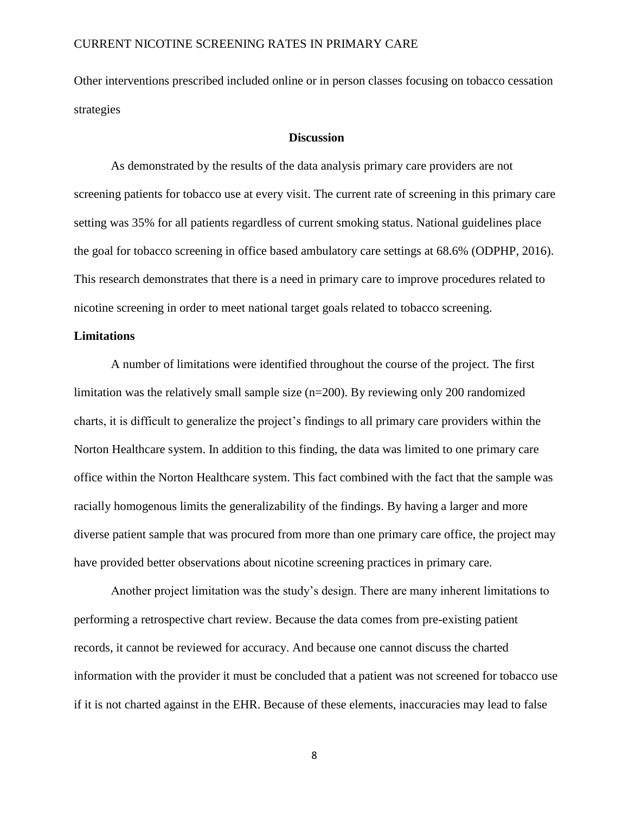Other interventions prescribed included online or in person classes focusing on tobacco cessation strategies

### **Discussion**

As demonstrated by the results of the data analysis primary care providers are not screening patients for tobacco use at every visit. The current rate of screening in this primary care setting was 35% for all patients regardless of current smoking status. National guidelines place the goal for tobacco screening in office based ambulatory care settings at 68.6% (ODPHP, 2016). This research demonstrates that there is a need in primary care to improve procedures related to nicotine screening in order to meet national target goals related to tobacco screening.

### **Limitations**

A number of limitations were identified throughout the course of the project. The first limitation was the relatively small sample size (n=200). By reviewing only 200 randomized charts, it is difficult to generalize the project's findings to all primary care providers within the Norton Healthcare system. In addition to this finding, the data was limited to one primary care office within the Norton Healthcare system. This fact combined with the fact that the sample was racially homogenous limits the generalizability of the findings. By having a larger and more diverse patient sample that was procured from more than one primary care office, the project may have provided better observations about nicotine screening practices in primary care.

Another project limitation was the study's design. There are many inherent limitations to performing a retrospective chart review. Because the data comes from pre-existing patient records, it cannot be reviewed for accuracy. And because one cannot discuss the charted information with the provider it must be concluded that a patient was not screened for tobacco use if it is not charted against in the EHR. Because of these elements, inaccuracies may lead to false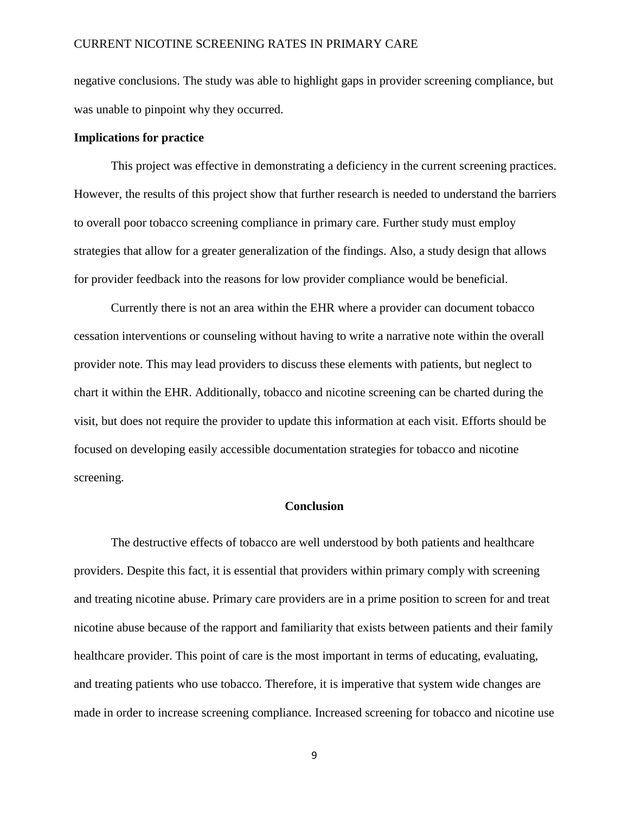negative conclusions. The study was able to highlight gaps in provider screening compliance, but was unable to pinpoint why they occurred.

### **Implications for practice**

This project was effective in demonstrating a deficiency in the current screening practices. However, the results of this project show that further research is needed to understand the barriers to overall poor tobacco screening compliance in primary care. Further study must employ strategies that allow for a greater generalization of the findings. Also, a study design that allows for provider feedback into the reasons for low provider compliance would be beneficial.

Currently there is not an area within the EHR where a provider can document tobacco cessation interventions or counseling without having to write a narrative note within the overall provider note. This may lead providers to discuss these elements with patients, but neglect to chart it within the EHR. Additionally, tobacco and nicotine screening can be charted during the visit, but does not require the provider to update this information at each visit. Efforts should be focused on developing easily accessible documentation strategies for tobacco and nicotine screening.

### **Conclusion**

The destructive effects of tobacco are well understood by both patients and healthcare providers. Despite this fact, it is essential that providers within primary comply with screening and treating nicotine abuse. Primary care providers are in a prime position to screen for and treat nicotine abuse because of the rapport and familiarity that exists between patients and their family healthcare provider. This point of care is the most important in terms of educating, evaluating, and treating patients who use tobacco. Therefore, it is imperative that system wide changes are made in order to increase screening compliance. Increased screening for tobacco and nicotine use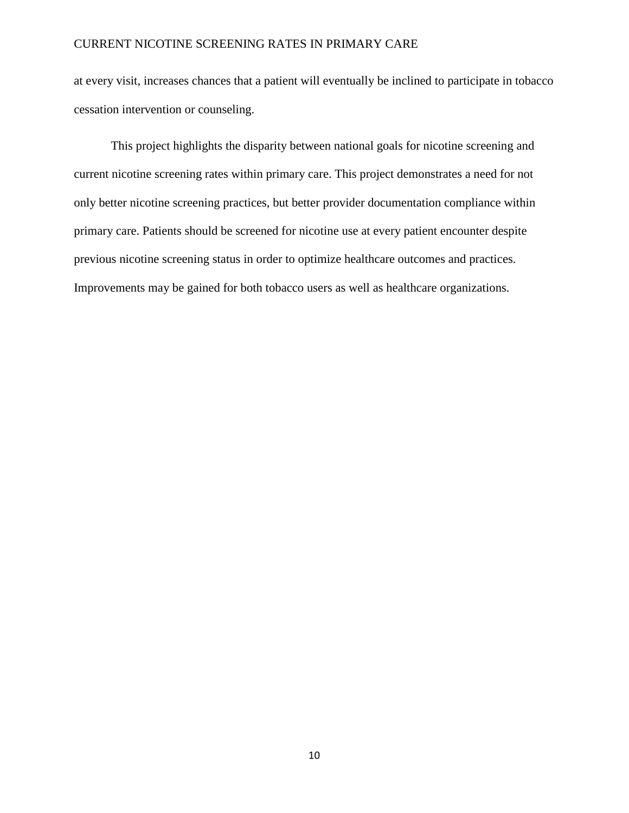at every visit, increases chances that a patient will eventually be inclined to participate in tobacco cessation intervention or counseling.

This project highlights the disparity between national goals for nicotine screening and current nicotine screening rates within primary care. This project demonstrates a need for not only better nicotine screening practices, but better provider documentation compliance within primary care. Patients should be screened for nicotine use at every patient encounter despite previous nicotine screening status in order to optimize healthcare outcomes and practices. Improvements may be gained for both tobacco users as well as healthcare organizations.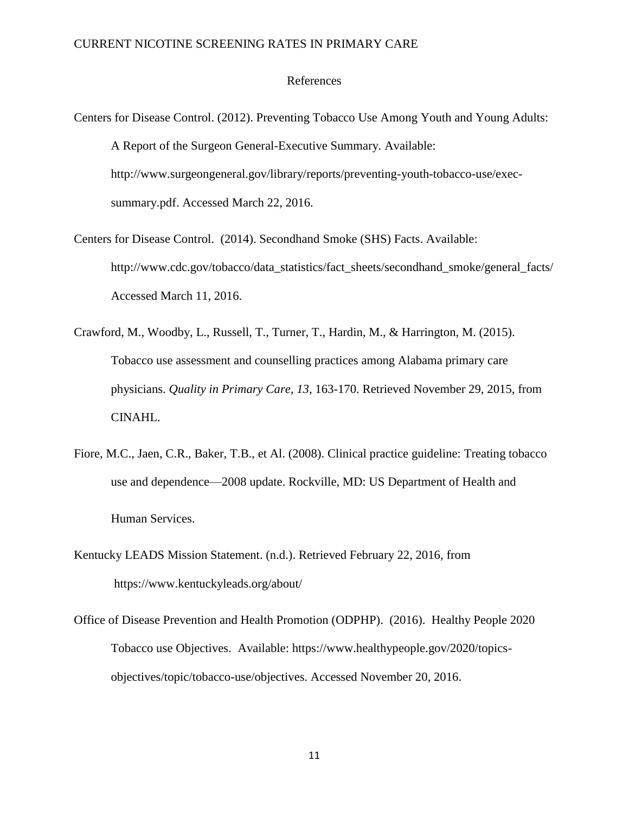#### References

- Centers for Disease Control. (2012). Preventing Tobacco Use Among Youth and Young Adults: A Report of the Surgeon General-Executive Summary. Available: http://www.surgeongeneral.gov/library/reports/preventing-youth-tobacco-use/execsummary.pdf. Accessed March 22, 2016.
- Centers for Disease Control. (2014). Secondhand Smoke (SHS) Facts. Available: http://www.cdc.gov/tobacco/data\_statistics/fact\_sheets/secondhand\_smoke/general\_facts/ Accessed March 11, 2016.
- Crawford, M., Woodby, L., Russell, T., Turner, T., Hardin, M., & Harrington, M. (2015). Tobacco use assessment and counselling practices among Alabama primary care physicians. *Quality in Primary Care, 13*, 163-170. Retrieved November 29, 2015, from CINAHL.
- Fiore, M.C., Jaen, C.R., Baker, T.B., et Al. (2008). Clinical practice guideline: Treating tobacco use and dependence—2008 update. Rockville, MD: US Department of Health and Human Services.
- Kentucky LEADS Mission Statement. (n.d.). Retrieved February 22, 2016, from https://www.kentuckyleads.org/about/
- Office of Disease Prevention and Health Promotion (ODPHP). (2016). Healthy People 2020 Tobacco use Objectives. Available: https://www.healthypeople.gov/2020/topicsobjectives/topic/tobacco-use/objectives. Accessed November 20, 2016.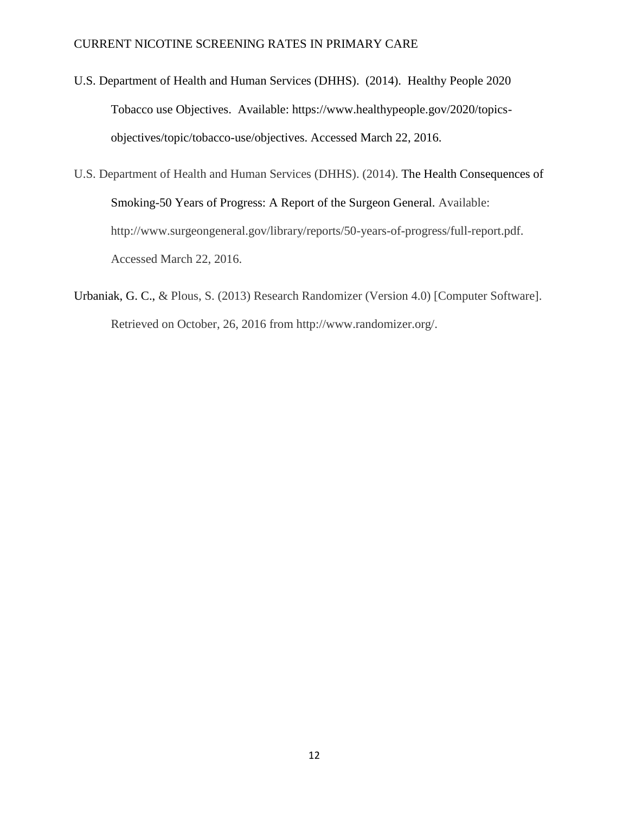- U.S. Department of Health and Human Services (DHHS). (2014). Healthy People 2020 Tobacco use Objectives. Available: https://www.healthypeople.gov/2020/topicsobjectives/topic/tobacco-use/objectives. Accessed March 22, 2016.
- U.S. Department of Health and Human Services (DHHS). (2014). The Health Consequences of Smoking-50 Years of Progress: A Report of the Surgeon General. Available: http://www.surgeongeneral.gov/library/reports/50-years-of-progress/full-report.pdf. Accessed March 22, 2016.
- Urbaniak, G. C., & Plous, S. (2013) Research Randomizer (Version 4.0) [Computer Software]. Retrieved on October, 26, 2016 from http://www.randomizer.org/.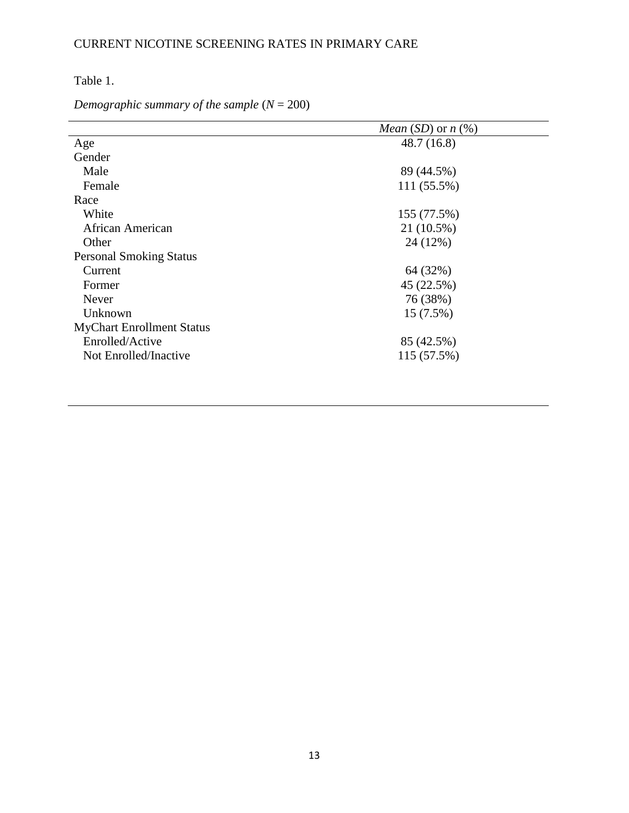Table 1.

*Demographic summary of the sample* (*N* = 200)

|                                  | <i>Mean</i> ( <i>SD</i> ) or $n$ (%) |  |  |
|----------------------------------|--------------------------------------|--|--|
| Age                              | 48.7(16.8)                           |  |  |
| Gender                           |                                      |  |  |
| Male                             | 89 (44.5%)                           |  |  |
| Female                           | 111 (55.5%)                          |  |  |
| Race                             |                                      |  |  |
| White                            | 155 (77.5%)                          |  |  |
| African American                 | 21 (10.5%)                           |  |  |
| Other                            | 24 (12%)                             |  |  |
| <b>Personal Smoking Status</b>   |                                      |  |  |
| Current                          | 64 (32%)                             |  |  |
| Former                           | 45 (22.5%)                           |  |  |
| Never                            | 76 (38%)                             |  |  |
| Unknown                          | 15 (7.5%)                            |  |  |
| <b>MyChart Enrollment Status</b> |                                      |  |  |
| Enrolled/Active                  | 85 (42.5%)                           |  |  |
| Not Enrolled/Inactive            | 115 (57.5%)                          |  |  |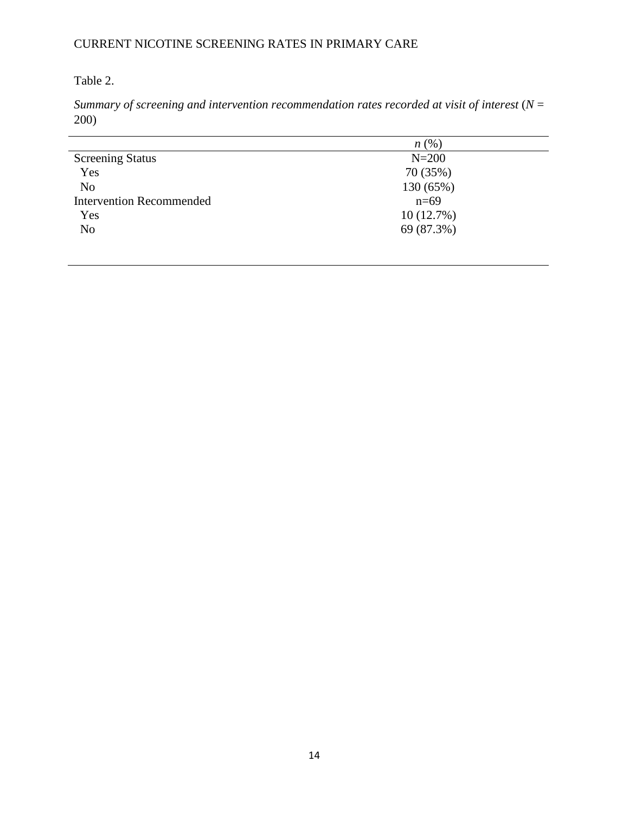# Table 2.

*Summary of screening and intervention recommendation rates recorded at visit of interest* (*N* = 200)

|                                 | n(%        |
|---------------------------------|------------|
| <b>Screening Status</b>         | $N=200$    |
| Yes                             | 70 (35%)   |
| N <sub>o</sub>                  | 130 (65%)  |
| <b>Intervention Recommended</b> | $n=69$     |
| Yes                             | 10(12.7%)  |
| N <sub>o</sub>                  | 69 (87.3%) |
|                                 |            |